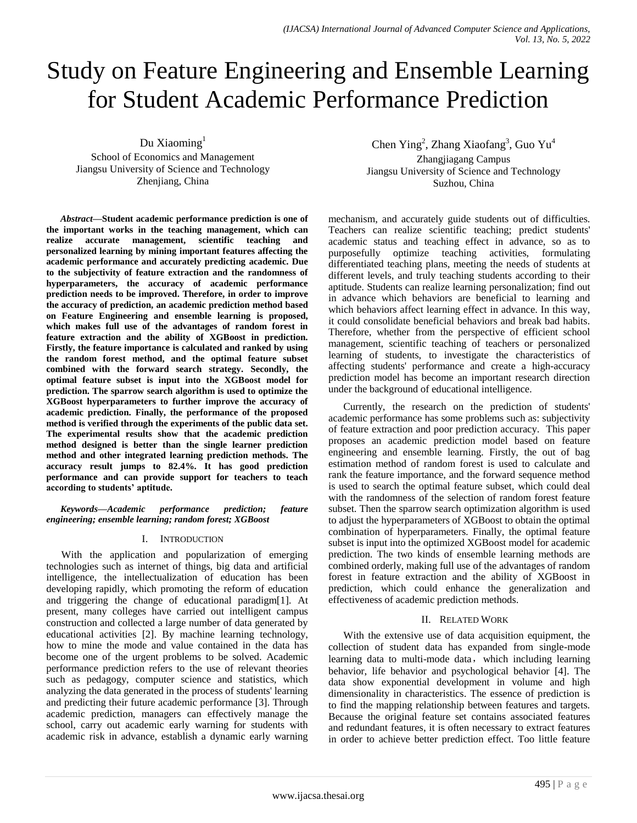# Study on Feature Engineering and Ensemble Learning for Student Academic Performance Prediction

Du Xiaoming $<sup>1</sup>$ </sup>

School of Economics and Management Jiangsu University of Science and Technology Zhenjiang, China

*Abstract***—Student academic performance prediction is one of the important works in the teaching management, which can realize accurate management, scientific teaching and personalized learning by mining important features affecting the academic performance and accurately predicting academic. Due to the subjectivity of feature extraction and the randomness of hyperparameters, the accuracy of academic performance prediction needs to be improved. Therefore, in order to improve the accuracy of prediction, an academic prediction method based on Feature Engineering and ensemble learning is proposed, which makes full use of the advantages of random forest in feature extraction and the ability of XGBoost in prediction. Firstly, the feature importance is calculated and ranked by using the random forest method, and the optimal feature subset combined with the forward search strategy. Secondly, the optimal feature subset is input into the XGBoost model for prediction. The sparrow search algorithm is used to optimize the XGBoost hyperparameters to further improve the accuracy of academic prediction. Finally, the performance of the proposed method is verified through the experiments of the public data set. The experimental results show that the academic prediction method designed is better than the single learner prediction method and other integrated learning prediction methods. The accuracy result jumps to 82.4%. It has good prediction performance and can provide support for teachers to teach according to students' aptitude.**

*Keywords—Academic performance prediction; feature engineering; ensemble learning; random forest; XGBoost*

# I. INTRODUCTION

With the application and popularization of emerging technologies such as internet of things, big data and artificial intelligence, the intellectualization of education has been developing rapidly, which promoting the reform of education and triggering the change of educational paradigm[1]. At present, many colleges have carried out intelligent campus construction and collected a large number of data generated by educational activities [2]. By machine learning technology, how to mine the mode and value contained in the data has become one of the urgent problems to be solved. Academic performance prediction refers to the use of relevant theories such as pedagogy, computer science and statistics, which analyzing the data generated in the process of students' learning and predicting their future academic performance [3]. Through academic prediction, managers can effectively manage the school, carry out academic early warning for students with academic risk in advance, establish a dynamic early warning

Chen Ying<sup>2</sup>, Zhang Xiaofang<sup>3</sup>, Guo Yu<sup>4</sup> Zhangjiagang Campus Jiangsu University of Science and Technology Suzhou, China

mechanism, and accurately guide students out of difficulties. Teachers can realize scientific teaching; predict students' academic status and teaching effect in advance, so as to purposefully optimize teaching activities, formulating differentiated teaching plans, meeting the needs of students at different levels, and truly teaching students according to their aptitude. Students can realize learning personalization; find out in advance which behaviors are beneficial to learning and which behaviors affect learning effect in advance. In this way, it could consolidate beneficial behaviors and break bad habits. Therefore, whether from the perspective of efficient school management, scientific teaching of teachers or personalized learning of students, to investigate the characteristics of affecting students' performance and create a high-accuracy prediction model has become an important research direction under the background of educational intelligence.

Currently, the research on the prediction of students' academic performance has some problems such as: subjectivity of feature extraction and poor prediction accuracy. This paper proposes an academic prediction model based on feature engineering and ensemble learning. Firstly, the out of bag estimation method of random forest is used to calculate and rank the feature importance, and the forward sequence method is used to search the optimal feature subset, which could deal with the randomness of the selection of random forest feature subset. Then the sparrow search optimization algorithm is used to adjust the hyperparameters of XGBoost to obtain the optimal combination of hyperparameters. Finally, the optimal feature subset is input into the optimized XGBoost model for academic prediction. The two kinds of ensemble learning methods are combined orderly, making full use of the advantages of random forest in feature extraction and the ability of XGBoost in prediction, which could enhance the generalization and effectiveness of academic prediction methods.

# II. RELATED WORK

With the extensive use of data acquisition equipment, the collection of student data has expanded from single-mode learning data to multi-mode data, which including learning behavior, life behavior and psychological behavior [4]. The data show exponential development in volume and high dimensionality in characteristics. The essence of prediction is to find the mapping relationship between features and targets. Because the original feature set contains associated features and redundant features, it is often necessary to extract features in order to achieve better prediction effect. Too little feature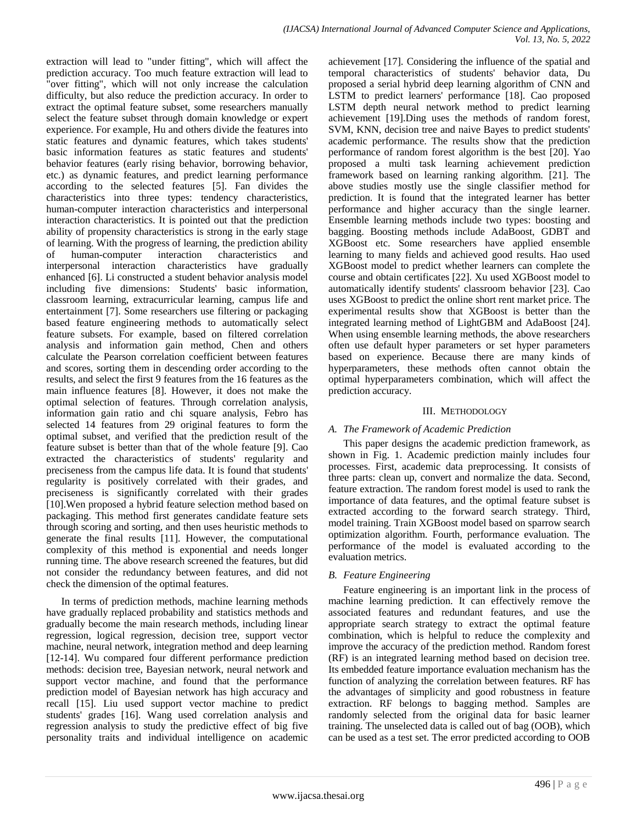extraction will lead to "under fitting", which will affect the prediction accuracy. Too much feature extraction will lead to "over fitting", which will not only increase the calculation difficulty, but also reduce the prediction accuracy. In order to extract the optimal feature subset, some researchers manually select the feature subset through domain knowledge or expert experience. For example, Hu and others divide the features into static features and dynamic features, which takes students' basic information features as static features and students' behavior features (early rising behavior, borrowing behavior, etc.) as dynamic features, and predict learning performance according to the selected features [5]. Fan divides the characteristics into three types: tendency characteristics, human-computer interaction characteristics and interpersonal interaction characteristics. It is pointed out that the prediction ability of propensity characteristics is strong in the early stage of learning. With the progress of learning, the prediction ability of human-computer interaction characteristics and interpersonal interaction characteristics have gradually enhanced [6]. Li constructed a student behavior analysis model including five dimensions: Students' basic information, classroom learning, extracurricular learning, campus life and entertainment [7]. Some researchers use filtering or packaging based feature engineering methods to automatically select feature subsets. For example, based on filtered correlation analysis and information gain method, Chen and others calculate the Pearson correlation coefficient between features and scores, sorting them in descending order according to the results, and select the first 9 features from the 16 features as the main influence features [8]. However, it does not make the optimal selection of features. Through correlation analysis, information gain ratio and chi square analysis, Febro has selected 14 features from 29 original features to form the optimal subset, and verified that the prediction result of the feature subset is better than that of the whole feature [9]. Cao extracted the characteristics of students' regularity and preciseness from the campus life data. It is found that students' regularity is positively correlated with their grades, and preciseness is significantly correlated with their grades [10]. Wen proposed a hybrid feature selection method based on packaging. This method first generates candidate feature sets through scoring and sorting, and then uses heuristic methods to generate the final results [11]. However, the computational complexity of this method is exponential and needs longer running time. The above research screened the features, but did not consider the redundancy between features, and did not check the dimension of the optimal features.

In terms of prediction methods, machine learning methods have gradually replaced probability and statistics methods and gradually become the main research methods, including linear regression, logical regression, decision tree, support vector machine, neural network, integration method and deep learning [12-14]. Wu compared four different performance prediction methods: decision tree, Bayesian network, neural network and support vector machine, and found that the performance prediction model of Bayesian network has high accuracy and recall [15]. Liu used support vector machine to predict students' grades [16]. Wang used correlation analysis and regression analysis to study the predictive effect of big five personality traits and individual intelligence on academic

achievement [17]. Considering the influence of the spatial and temporal characteristics of students' behavior data, Du proposed a serial hybrid deep learning algorithm of CNN and LSTM to predict learners' performance [18]. Cao proposed LSTM depth neural network method to predict learning achievement [19].Ding uses the methods of random forest, SVM, KNN, decision tree and naive Bayes to predict students' academic performance. The results show that the prediction performance of random forest algorithm is the best [20]. Yao proposed a multi task learning achievement prediction framework based on learning ranking algorithm. [21]. The above studies mostly use the single classifier method for prediction. It is found that the integrated learner has better performance and higher accuracy than the single learner. Ensemble learning methods include two types: boosting and bagging. Boosting methods include AdaBoost, GDBT and XGBoost etc. Some researchers have applied ensemble learning to many fields and achieved good results. Hao used XGBoost model to predict whether learners can complete the course and obtain certificates [22]. Xu used XGBoost model to automatically identify students' classroom behavior [23]. Cao uses XGBoost to predict the online short rent market price. The experimental results show that XGBoost is better than the integrated learning method of LightGBM and AdaBoost [24]. When using ensemble learning methods, the above researchers often use default hyper parameters or set hyper parameters based on experience. Because there are many kinds of hyperparameters, these methods often cannot obtain the optimal hyperparameters combination, which will affect the prediction accuracy.

## III. METHODOLOGY

# *A. The Framework of Academic Prediction*

This paper designs the academic prediction framework, as shown in Fig. 1. Academic prediction mainly includes four processes. First, academic data preprocessing. It consists of three parts: clean up, convert and normalize the data. Second, feature extraction. The random forest model is used to rank the importance of data features, and the optimal feature subset is extracted according to the forward search strategy. Third, model training. Train XGBoost model based on sparrow search optimization algorithm. Fourth, performance evaluation. The performance of the model is evaluated according to the evaluation metrics.

## *B. Feature Engineering*

Feature engineering is an important link in the process of machine learning prediction. It can effectively remove the associated features and redundant features, and use the appropriate search strategy to extract the optimal feature combination, which is helpful to reduce the complexity and improve the accuracy of the prediction method. Random forest (RF) is an integrated learning method based on decision tree. Its embedded feature importance evaluation mechanism has the function of analyzing the correlation between features. RF has the advantages of simplicity and good robustness in feature extraction. RF belongs to bagging method. Samples are randomly selected from the original data for basic learner training. The unselected data is called out of bag (OOB), which can be used as a test set. The error predicted according to OOB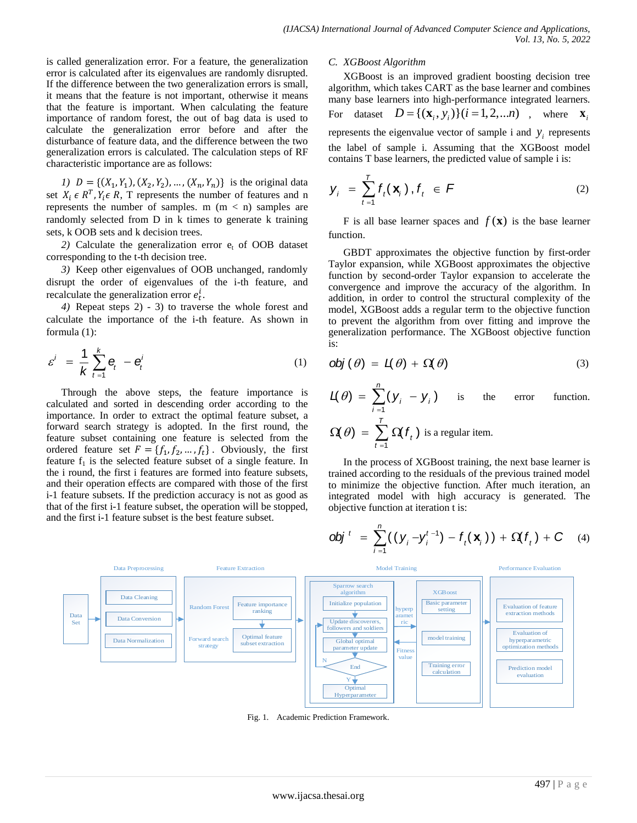is called generalization error. For a feature, the generalization error is calculated after its eigenvalues are randomly disrupted. If the difference between the two generalization errors is small, it means that the feature is not important, otherwise it means that the feature is important. When calculating the feature importance of random forest, the out of bag data is used to calculate the generalization error before and after the disturbance of feature data, and the difference between the two generalization errors is calculated. The calculation steps of RF characteristic importance are as follows:

*1*)  $D = \{(X_1, Y_1), (X_2, Y_2), ..., (X_n, Y_n)\}\$ is the original data set  $X_i \in \mathbb{R}^T$ ,  $Y_i \in \mathbb{R}$ , T represents the number of features and n represents the number of samples. m  $(m < n)$  samples are randomly selected from D in k times to generate k training sets, k OOB sets and k decision trees.

2) Calculate the generalization error  $e_t$  of OOB dataset corresponding to the t-th decision tree.

*3)* Keep other eigenvalues of OOB unchanged, randomly disrupt the order of eigenvalues of the i-th feature, and recalculate the generalization error  $e_t^i$ .

*4)* Repeat steps 2) - 3) to traverse the whole forest and calculate the importance of the i-th feature. As shown in formula (1):

$$
\varepsilon^i = \frac{1}{k} \sum_{t=1}^k \mathbf{e}_t - \mathbf{e}_t^i \tag{1}
$$

Through the above steps, the feature importance is calculated and sorted in descending order according to the importance. In order to extract the optimal feature subset, a forward search strategy is adopted. In the first round, the feature subset containing one feature is selected from the ordered feature set  $F = \{f_1, f_2, ..., f_t\}$ . Obviously, the first feature  $f_1$  is the selected feature subset of a single feature. In the i round, the first i features are formed into feature subsets, and their operation effects are compared with those of the first i-1 feature subsets. If the prediction accuracy is not as good as that of the first i-1 feature subset, the operation will be stopped, and the first i-1 feature subset is the best feature subset.

#### *C. XGBoost Algorithm*

 $t = 1$ 

XGBoost is an improved gradient boosting decision tree algorithm, which takes CART as the base learner and combines many base learners into high-performance integrated learners. For dataset  $D = \{ (\mathbf{x}_i, y_i) \} (i = 1, 2, \dots n)$ , where  $\mathbf{x}_i$ represents the eigenvalue vector of sample i and  $y_i$  represents the label of sample i. Assuming that the XGBoost model contains T base learners, the predicted value of sample i is:

$$
\mathbf{y}_{i} = \sum_{t=1}^{T} f_{t}(\mathbf{x}_{i}), f_{t} \in \mathcal{F}
$$
 (2)

F is all base learner spaces and  $f(\mathbf{x})$  is the base learner function.

GBDT approximates the objective function by first-order Taylor expansion, while XGBoost approximates the objective function by second-order Taylor expansion to accelerate the convergence and improve the accuracy of the algorithm. In addition, in order to control the structural complexity of the model, XGBoost adds a regular term to the objective function to prevent the algorithm from over fitting and improve the generalization performance. The XGBoost objective function is:

$$
obj(\theta) = L(\theta) + \Omega(\theta)
$$
 (3)

$$
\mathcal{L}(\theta) = \sum_{i=1}^{n} (y_i - y_i)
$$
 is the error function.  

$$
\Omega(\theta) = \sum_{i=1}^{T} \Omega(f_i)
$$
 is a regular item.

In the process of XGBoost training, the next base learner is trained according to the residuals of the previous trained model to minimize the objective function. After much iteration, an integrated model with high accuracy is generated. The objective function at iteration t is:

$$
\text{obj}^{t} = \sum_{i=1}^{n} ((y_i - y_i^{t-1}) - f_t(\mathbf{x}_i)) + \Omega(f_t) + C \quad (4)
$$



Fig. 1. Academic Prediction Framework.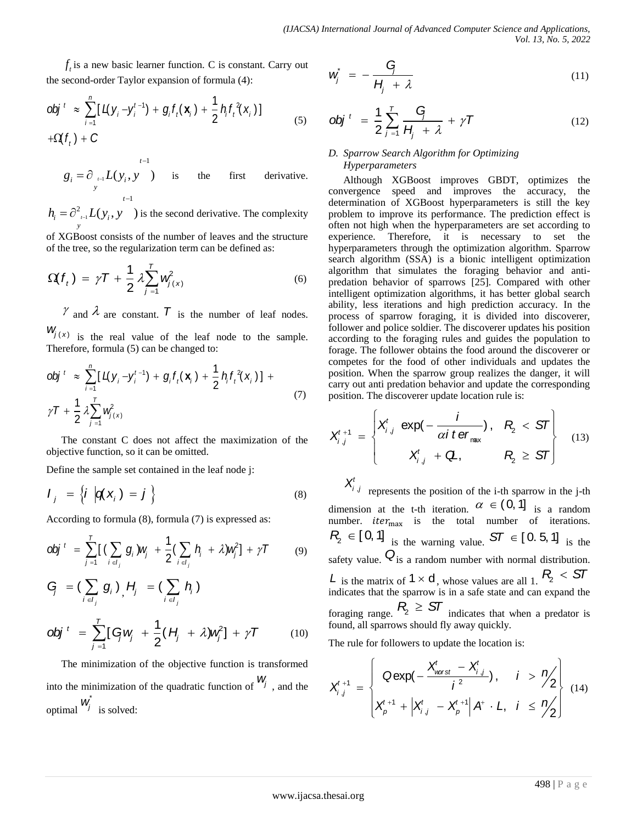*f* is a new basic learner function. C is constant. Carry out the second-order Taylor expansion of formula (4):

obj<sup>t</sup> 
$$
\approx \sum_{i=1}^{n} [L(y_i - y_i^{t-1}) + g_i f_i(\mathbf{x}_i) + \frac{1}{2} h_i f_i^2(\mathbf{x}_i)]
$$
  
+ $\Omega(f_t) + C$  (5)

$$
g_i = \partial_{\nu=1} L(y_i, y) \quad \text{is} \quad \text{the} \quad \text{first} \quad \text{derivative.}
$$

 $h_i = \partial_{i-1}^2 L(y_i, y)$  is the second derivative. The complexity *y*

of XGBoost consists of the number of leaves and the structure of the tree, so the regularization term can be defined as:

$$
\Omega(f_t) = \gamma T + \frac{1}{2} \lambda \sum_{j=1}^T w_{j(x)}^2 \tag{6}
$$

 $\gamma$  and  $\lambda$  are constant.  $\overline{T}$  is the number of leaf nodes.  $W_j(x)$  is the real value of the leaf node to the sample.

Therefore, formula (5) can be changed to:  
\n
$$
obj^{t} \approx \sum_{i=1}^{n} [L(y_i - y_i^{t-1}) + g_i f_i(\mathbf{x}_i) + \frac{1}{2} h_i f_i^2(\mathbf{x}_i)] +
$$
\n
$$
\gamma T + \frac{1}{2} \lambda \sum_{j=1}^{T} w_{j(\mathbf{x})}^2
$$
\n(7)

The constant C does not affect the maximization of the objective function, so it can be omitted.

Define the sample set contained in the leaf node j:

$$
I_j = \left\{ i \left| \mathbf{q}(\mathbf{x}_j) = j \right. \right\} \tag{8}
$$

According to formula (8), formula (7) is expressed as:  
\n
$$
obj^{t} = \sum_{j=1}^{T} \left[ \left( \sum_{i \in I_{j}} g_{i} \right) w_{j} + \frac{1}{2} \left( \sum_{i \in I_{j}} h_{i} + \lambda \right) w_{j}^{2} \right] + \gamma T
$$
\n(9)

*y<sub>i</sub>*, *u* and *w* as a factor *i* function. The equation is 
$$
u^2 + u^2 = 0
$$
 for *x* of *x* and *y* of *x* and *y* of *x* and *y* of *x* and *y* of *x* and *y* and *y* and *y* and *y* and *y* are the second derivative. The complexity theorem of *x* and *y* and *y* and *y* and *y* and *y* and *y* and *y* and *y* and *y* and *y* and *y* and *y* and *y* and *y* and *y* and *y* and *y* and *y* and *y* and *y* and *y* and *y* and *y* and *y* and *y* and *y* and *y* and *y* and *y* and *y* and *y* and *y* and *y* and *y* and *y* and *y* and *y* and *y* and *y* and *y* and *y* and *y* and *y* and *y* and *y* and *y* and *y* and *y* and *y* and *y* and *y* and *y* and *y* and *y* and *y* and *y* and *y* and *y* and *y* and *y* and *y* and *y* and *y* and *y* and *y* and *y* and *y* and *y* and *y* and *y* and *y* and *y* and *y* and *y* and *y* and *y* and *y* and *y* and *y* and *y* and *y* and *y* and *y* and *y* and 

The minimization of the objective function is transformed into the minimization of the quadratic function of  $W_j$ , and the optimal  $w^j$  is solved:

$$
\dot{w}_j^* = -\frac{G_j}{H_j + \lambda} \tag{11}
$$

$$
obj^{t} = \frac{1}{2} \sum_{j=1}^{T} \frac{G}{H_{j} + \lambda} + \gamma T
$$
 (12)

# *D. Sparrow Search Algorithm for Optimizing Hyperparameters*

Although XGBoost improves GBDT, optimizes the convergence speed and improves the accuracy, the determination of XGBoost hyperparameters is still the key problem to improve its performance. The prediction effect is often not high when the hyperparameters are set according to experience. Therefore, it is necessary to set the hyperparameters through the optimization algorithm. Sparrow search algorithm (SSA) is a bionic intelligent optimization algorithm that simulates the foraging behavior and antipredation behavior of sparrows [25]. Compared with other intelligent optimization algorithms, it has better global search ability, less iterations and high prediction accuracy. In the process of sparrow foraging, it is divided into discoverer, follower and police soldier. The discoverer updates his position according to the foraging rules and guides the population to forage. The follower obtains the food around the discoverer or competes for the food of other individuals and updates the position. When the sparrow group realizes the danger, it will carry out anti predation behavior and update the corresponding

position. The discoverer update location rule is:  
\n
$$
X_{i,j}^{t+1} = \begin{cases} X_{i,j}^t \exp(-\frac{i}{\alpha i \text{ t} \text{ er}_{\text{max}}}), & R_2 < ST \\ X_{i,j}^t + Q, & R_2 \ge ST \end{cases}
$$
\n(13)

 $X^t_{i,j}$  represents the position of the i-th sparrow in the j-th dimension at the t-th iteration.  $\alpha \in (0, 1]$  is a random number. *iter<sub>max</sub>* is the total number of iterations.  $R_2 \in [0, 1]$  is the warning value.  $ST \in [0.5, 1]$  is the safety value.  $Q_{is}$  a random number with normal distribution. *L* is the matrix of  $1 \times d$ , whose values are all 1.  $R_2 < ST$ indicates that the sparrow is in a safe state and can expand the foraging range.  $P_2 \geq ST$  indicates that when a predator is found, all sparrows should fly away quickly.

The rule for follows to update the location is:  
\n
$$
X_{i,j}^{t+1} = \begin{cases}\n\text{Qexp}\left(-\frac{X_{\text{worst}}^{t} - X_{i,j}^{t}}{i^{2}}\right), & i > \frac{n}{2} \\
X_{\text{p}}^{t+1} + \left|X_{i,j}^{t} - X_{\text{p}}^{t+1}\right|A^{t} \cdot L, & i \leq \frac{n}{2}\n\end{cases}
$$
\n(14)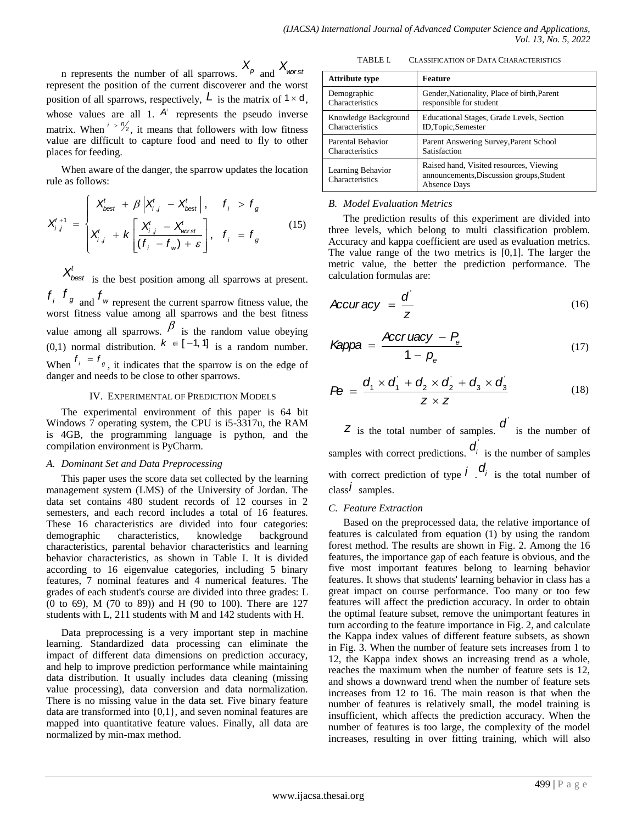in represents the number of all sparrows.  $X_{p}$  and  $X_{\text{worst}}$ represent the position of the current discoverer and the worst position of all sparrows, respectively,  $\boldsymbol{L}$  is the matrix of  $1 \times d$ , whose values are all 1.  $A^+$  represents the pseudo inverse matrix. When  $\frac{1}{2}$ , it means that followers with low fitness value are difficult to capture food and need to fly to other places for feeding.

When aware of the danger, the sparrow updates the location rule as follows:

rule as follows:  
\n
$$
X_{i,j}^{t+1} = \begin{cases}\nX_{best}^t + \beta \left| X_{i,j}^t - X_{best}^t \right|, & f_i > f_g \\
X_{i,j}^t + k \left[ \frac{X_{i,j}^t - X_{worst}^t}{(f_i - f_w) + \varepsilon} \right], & f_i = f_g\n\end{cases}
$$
\n(15)

 $X'_{best}$  is the best position among all sparrows at present.  $f_i$ ,  $f_g$  and  $f_w$  represent the current sparrow fitness value, the

worst fitness value among all sparrows and the best fitness value among all sparrows.  $\beta$  is the random value obeying  $(0,1)$  normal distribution.  $k \in [-1, 1]$  is a random number. When  $f_i = f_g$ , it indicates that the sparrow is on the edge of danger and needs to be close to other sparrows.

## IV. EXPERIMENTAL OF PREDICTION MODELS

The experimental environment of this paper is 64 bit Windows 7 operating system, the CPU is i5-3317u, the RAM is 4GB, the programming language is python, and the compilation environment is PyCharm.

## *A. Dominant Set and Data Preprocessing*

This paper uses the score data set collected by the learning management system (LMS) of the University of Jordan. The data set contains 480 student records of 12 courses in 2 semesters, and each record includes a total of 16 features. These 16 characteristics are divided into four categories: demographic characteristics, knowledge background characteristics, parental behavior characteristics and learning behavior characteristics, as shown in Table I. It is divided according to 16 eigenvalue categories, including 5 binary features, 7 nominal features and 4 numerical features. The grades of each student's course are divided into three grades: L (0 to 69), M (70 to 89)) and H (90 to 100). There are 127 students with L, 211 students with M and 142 students with H.

Data preprocessing is a very important step in machine learning. Standardized data processing can eliminate the impact of different data dimensions on prediction accuracy, and help to improve prediction performance while maintaining data distribution. It usually includes data cleaning (missing value processing), data conversion and data normalization. There is no missing value in the data set. Five binary feature data are transformed into {0,1}, and seven nominal features are mapped into quantitative feature values. Finally, all data are normalized by min-max method.

TABLE I. CLASSIFICATION OF DATA CHARACTERISTICS

| <b>Attribute type</b>                | <b>Feature</b>                                                                                              |  |  |
|--------------------------------------|-------------------------------------------------------------------------------------------------------------|--|--|
| Demographic                          | Gender, Nationality, Place of birth, Parent                                                                 |  |  |
| Characteristics                      | responsible for student                                                                                     |  |  |
| Knowledge Background                 | Educational Stages, Grade Levels, Section                                                                   |  |  |
| Characteristics                      | ID, Topic, Semester                                                                                         |  |  |
| Parental Behavior                    | Parent Answering Survey, Parent School                                                                      |  |  |
| Characteristics                      | Satisfaction                                                                                                |  |  |
| Learning Behavior<br>Characteristics | Raised hand, Visited resources, Viewing<br>announcements, Discussion groups, Student<br><b>Absence Days</b> |  |  |

# *B. Model Evaluation Metrics*

The prediction results of this experiment are divided into three levels, which belong to multi classification problem. Accuracy and kappa coefficient are used as evaluation metrics. The value range of the two metrics is [0,1]. The larger the metric value, the better the prediction performance. The calculation formulas are:

$$
Accuracy = \frac{d'}{z}
$$
 (16)

$$
Kappa = \frac{Accr \, uacy - P_e}{1 - p_e} \tag{17}
$$

$$
P\mathbf{\Theta} = \frac{d_1 \times d_1 + d_2 \times d_2 + d_3 \times d_3}{Z \times Z}
$$
 (18)

 $\overline{z}$  is the total number of samples.  $\overline{d}$  is the number of samples with correct predictions.  $\mathbf{d}_i$  is the number of samples with correct prediction of type  $\vec{l}$   $\cdot$   $\vec{d}_i$  is the total number of class *i* samples.

## *C. Feature Extraction*

Based on the preprocessed data, the relative importance of features is calculated from equation (1) by using the random forest method. The results are shown in Fig. 2. Among the 16 features, the importance gap of each feature is obvious, and the five most important features belong to learning behavior features. It shows that students' learning behavior in class has a great impact on course performance. Too many or too few features will affect the prediction accuracy. In order to obtain the optimal feature subset, remove the unimportant features in turn according to the feature importance in Fig. 2, and calculate the Kappa index values of different feature subsets, as shown in Fig. 3. When the number of feature sets increases from 1 to 12, the Kappa index shows an increasing trend as a whole, reaches the maximum when the number of feature sets is 12, and shows a downward trend when the number of feature sets increases from 12 to 16. The main reason is that when the number of features is relatively small, the model training is insufficient, which affects the prediction accuracy. When the number of features is too large, the complexity of the model increases, resulting in over fitting training, which will also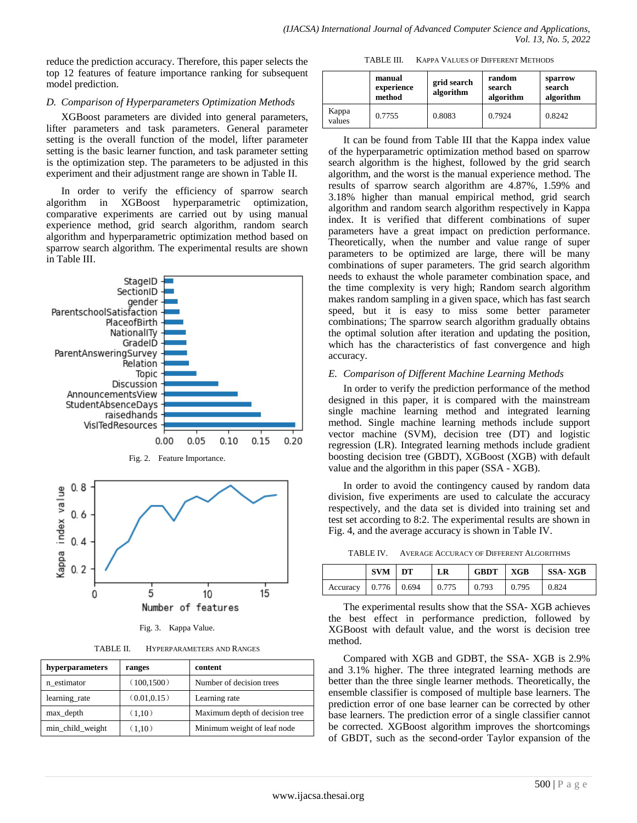reduce the prediction accuracy. Therefore, this paper selects the top 12 features of feature importance ranking for subsequent model prediction.

# *D. Comparison of Hyperparameters Optimization Methods*

XGBoost parameters are divided into general parameters, lifter parameters and task parameters. General parameter setting is the overall function of the model, lifter parameter setting is the basic learner function, and task parameter setting is the optimization step. The parameters to be adjusted in this experiment and their adjustment range are shown in Table II.

In order to verify the efficiency of sparrow search algorithm in XGBoost hyperparametric optimization, comparative experiments are carried out by using manual experience method, grid search algorithm, random search algorithm and hyperparametric optimization method based on sparrow search algorithm. The experimental results are shown in Table III.





Fig. 3. Kappa Value.

TABLE II. HYPERPARAMETERS AND RANGES

| hyperparameters<br>ranges |              | content                        |  |  |
|---------------------------|--------------|--------------------------------|--|--|
| n estimator               | (100, 1500)  | Number of decision trees       |  |  |
| learning rate             | (0.01, 0.15) | Learning rate                  |  |  |
| max_depth                 | (1,10)       | Maximum depth of decision tree |  |  |
| min_child_weight          | (1,10)       | Minimum weight of leaf node    |  |  |

TABLE III. KAPPA VALUES OF DIFFERENT METHODS

|                 | manual<br>experience<br>method | random<br>grid search<br>search<br>algorithm<br>algorithm |        | sparrow<br>search<br>algorithm |
|-----------------|--------------------------------|-----------------------------------------------------------|--------|--------------------------------|
| Kappa<br>values | 0.7755                         | 0.8083                                                    | 0.7924 | 0.8242                         |

It can be found from Table III that the Kappa index value of the hyperparametric optimization method based on sparrow search algorithm is the highest, followed by the grid search algorithm, and the worst is the manual experience method. The results of sparrow search algorithm are 4.87%, 1.59% and 3.18% higher than manual empirical method, grid search algorithm and random search algorithm respectively in Kappa index. It is verified that different combinations of super parameters have a great impact on prediction performance. Theoretically, when the number and value range of super parameters to be optimized are large, there will be many combinations of super parameters. The grid search algorithm needs to exhaust the whole parameter combination space, and the time complexity is very high; Random search algorithm makes random sampling in a given space, which has fast search speed, but it is easy to miss some better parameter combinations; The sparrow search algorithm gradually obtains the optimal solution after iteration and updating the position, which has the characteristics of fast convergence and high accuracy.

## *E. Comparison of Different Machine Learning Methods*

In order to verify the prediction performance of the method designed in this paper, it is compared with the mainstream single machine learning method and integrated learning method. Single machine learning methods include support vector machine (SVM), decision tree (DT) and logistic regression (LR). Integrated learning methods include gradient boosting decision tree (GBDT), XGBoost (XGB) with default value and the algorithm in this paper (SSA - XGB).

In order to avoid the contingency caused by random data division, five experiments are used to calculate the accuracy respectively, and the data set is divided into training set and test set according to 8:2. The experimental results are shown in Fig. 4, and the average accuracy is shown in Table IV.

TABLE IV. AVERAGE ACCURACY OF DIFFERENT ALGORITHMS

|                      | <b>SVM</b> | $\overline{LT}$ | LR    | <b>GBDT</b> | XGB   | SSA- XGB |
|----------------------|------------|-----------------|-------|-------------|-------|----------|
| Accuracy 0.776 0.694 |            |                 | 0.775 | 0.793       | 0.795 | 0.824    |

The experimental results show that the SSA- XGB achieves the best effect in performance prediction, followed by XGBoost with default value, and the worst is decision tree method.

Compared with XGB and GDBT, the SSA- XGB is 2.9% and 3.1% higher. The three integrated learning methods are better than the three single learner methods. Theoretically, the ensemble classifier is composed of multiple base learners. The prediction error of one base learner can be corrected by other base learners. The prediction error of a single classifier cannot be corrected. XGBoost algorithm improves the shortcomings of GBDT, such as the second-order Taylor expansion of the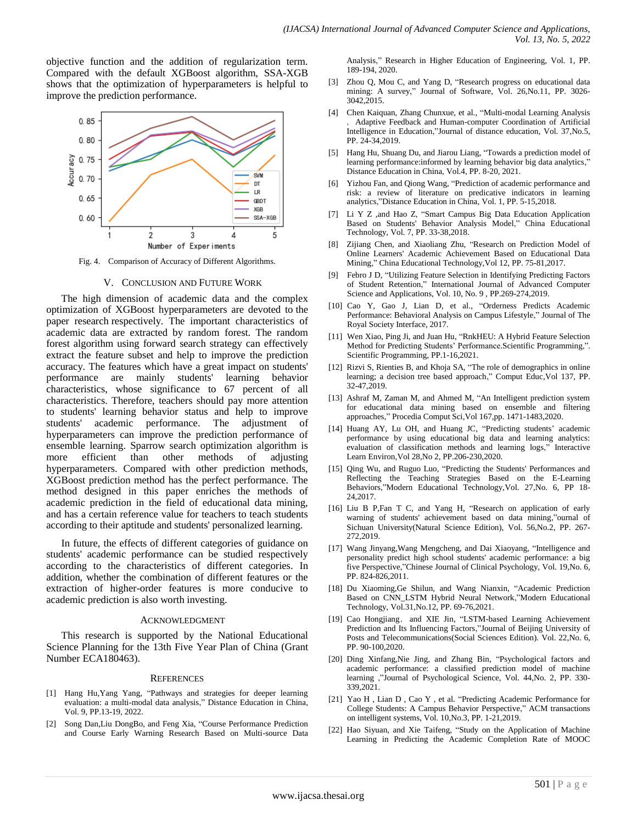objective function and the addition of regularization term. Compared with the default XGBoost algorithm, SSA-XGB shows that the optimization of hyperparameters is helpful to improve the prediction performance.



Fig. 4. Comparison of Accuracy of Different Algorithms.

#### V. CONCLUSION AND FUTURE WORK

The high dimension of academic data and the complex optimization of XGBoost hyperparameters are devoted to the paper research respectively. The important characteristics of academic data are extracted by random forest. The random forest algorithm using forward search strategy can effectively extract the feature subset and help to improve the prediction accuracy. The features which have a great impact on students' performance are mainly students' learning behavior characteristics, whose significance to 67 percent of all characteristics. Therefore, teachers should pay more attention to students' learning behavior status and help to improve students' academic performance. The adjustment of hyperparameters can improve the prediction performance of ensemble learning. Sparrow search optimization algorithm is more efficient than other methods of adjusting hyperparameters. Compared with other prediction methods, XGBoost prediction method has the perfect performance. The method designed in this paper enriches the methods of academic prediction in the field of educational data mining, and has a certain reference value for teachers to teach students according to their aptitude and students' personalized learning.

In future, the effects of different categories of guidance on students' academic performance can be studied respectively according to the characteristics of different categories. In addition, whether the combination of different features or the extraction of higher-order features is more conducive to academic prediction is also worth investing.

#### ACKNOWLEDGMENT

This research is supported by the National Educational Science Planning for the 13th Five Year Plan of China (Grant Number ECA180463).

#### **REFERENCES**

- [1] Hang Hu,Yang Yang, "Pathways and strategies for deeper learning evaluation: a multi-modal data analysis," Distance Education in China, Vol. 9, PP.13-19, 2022.
- [2] Song Dan,Liu DongBo, and Feng Xia, "Course Performance Prediction and Course Early Warning Research Based on Multi-source Data

Analysis," Research in Higher Education of Engineering, Vol. 1, PP. 189-194, 2020.

- [3] Zhou Q, Mou C, and Yang D, "Research progress on educational data mining: A survey," Journal of Software, Vol. 26,No.11, PP. 3026- 3042,2015.
- [4] Chen Kaiquan, Zhang Chunxue, et al., "Multi-modal Learning Analysis Adaptive Feedback and Human-computer Coordination of Artificial Intelligence in Education,"Journal of distance education, Vol. 37,No.5, PP. 24-34,2019.
- [5] Hang Hu, Shuang Du, and Jiarou Liang, "Towards a prediction model of learning performance:informed by learning behavior big data analytics," Distance Education in China, Vol.4, PP. 8-20, 2021.
- [6] Yizhou Fan, and Qiong Wang, "Prediction of academic performance and risk: a review of literature on predicative indicators in learning analytics,"Distance Education in China, Vol. 1, PP. 5-15,2018.
- [7] Li Y Z ,and Hao Z, "Smart Campus Big Data Education Application Based on Students' Behavior Analysis Model," China Educational Technology, Vol. 7, PP. 33-38,2018.
- [8] Zijiang Chen, and Xiaoliang Zhu, "Research on Prediction Model of Online Learners' Academic Achievement Based on Educational Data Mining," China Educational Technology,Vol 12, PP. 75-81,2017.
- [9] Febro J D, "Utilizing Feature Selection in Identifying Predicting Factors of Student Retention," International Journal of Advanced Computer Science and Applications, Vol. 10, No. 9 , PP.269-274,2019.
- [10] Cao Y, Gao J, Lian D, et al., "Orderness Predicts Academic Performance: Behavioral Analysis on Campus Lifestyle," Journal of The Royal Society Interface, 2017.
- [11] Wen Xiao, Ping Ji, and Juan Hu, "RnkHEU: A Hybrid Feature Selection Method for Predicting Students' Performance.Scientific Programming,". Scientific Programming, PP.1-16,2021.
- [12] Rizvi S, Rienties B, and Khoja SA, "The role of demographics in online learning; a decision tree based approach," Comput Educ,Vol 137, PP. 32-47,2019.
- [13] Ashraf M, Zaman M, and Ahmed M, "An Intelligent prediction system for educational data mining based on ensemble and filtering approaches," Procedia Comput Sci,Vol 167,pp. 1471-1483,2020.
- [14] Huang AY, Lu OH, and Huang JC, "Predicting students' academic performance by using educational big data and learning analytics: evaluation of classification methods and learning logs," Interactive Learn Environ,Vol 28,No 2, PP.206-230,2020.
- [15] Qing Wu, and Ruguo Luo, "Predicting the Students' Performances and Reflecting the Teaching Strategies Based on the E-Learning Behaviors,"Modern Educational Technology,Vol. 27,No. 6, PP 18- 24,2017.
- [16] Liu B P,Fan T C, and Yang H, "Research on application of early warning of students' achievement based on data mining,"ournal of Sichuan University(Natural Science Edition), Vol. 56,No.2, PP. 267- 272,2019.
- [17] Wang Jinyang,Wang Mengcheng, and Dai Xiaoyang, "Intelligence and personality predict high school students' academic performance: a big five Perspective,"Chinese Journal of Clinical Psychology, Vol. 19,No. 6, PP. 824-826,2011.
- [18] Du Xiaoming,Ge Shilun, and Wang Nianxin, "Academic Prediction Based on CNN\_LSTM Hybrid Neural Network,"Modern Educational Technology, Vol.31,No.12, PP. 69-76,2021.
- [19] Cao Hongjiang, and XIE Jin, "LSTM-based Learning Achievement Prediction and Its Influencing Factors,"Journal of Beijing University of Posts and Telecommunications(Social Sciences Edition). Vol. 22,No. 6, PP. 90-100,2020.
- [20] Ding Xinfang,Nie Jing, and Zhang Bin, "Psychological factors and academic performance: a classified prediction model of machine learning ,"Journal of Psychological Science, Vol. 44,No. 2, PP. 330- 339,2021.
- [21] Yao H, Lian D, Cao Y, et al. "Predicting Academic Performance for College Students: A Campus Behavior Perspective," ACM transactions on intelligent systems, Vol. 10,No.3, PP. 1-21,2019.
- [22] Hao Siyuan, and Xie Taifeng, "Study on the Application of Machine Learning in Predicting the Academic Completion Rate of MOOC